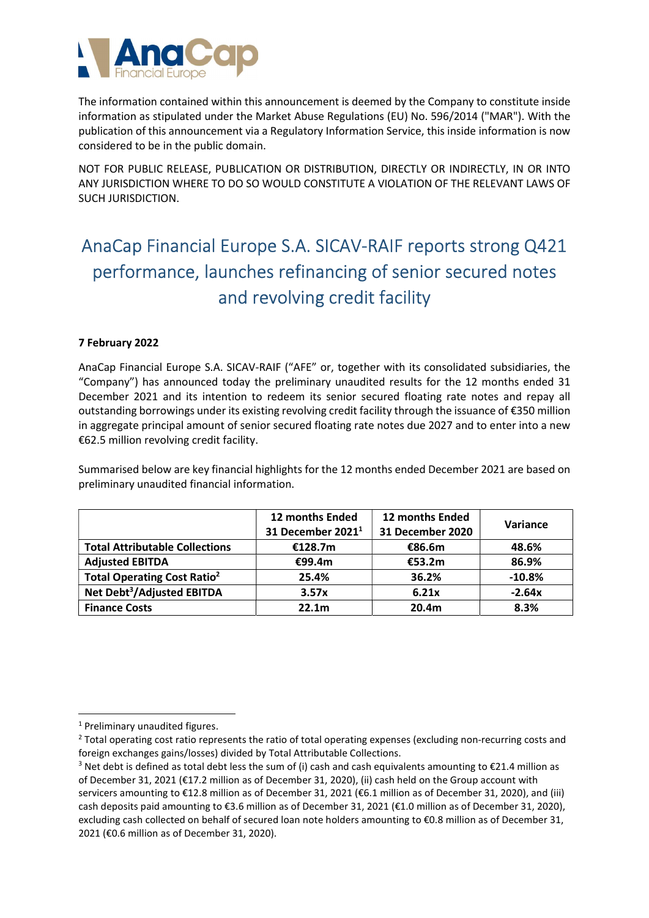

The information contained within this announcement is deemed by the Company to constitute inside information as stipulated under the Market Abuse Regulations (EU) No. 596/2014 ("MAR"). With the publication of this announcement via a Regulatory Information Service, this inside information is now considered to be in the public domain.

NOT FOR PUBLIC RELEASE, PUBLICATION OR DISTRIBUTION, DIRECTLY OR INDIRECTLY, IN OR INTO ANY JURISDICTION WHERE TO DO SO WOULD CONSTITUTE A VIOLATION OF THE RELEVANT LAWS OF SUCH JURISDICTION.

# AnaCap Financial Europe S.A. SICAV-RAIF reports strong Q421 performance, launches refinancing of senior secured notes and revolving credit facility

# 7 February 2022

AnaCap Financial Europe S.A. SICAV-RAIF ("AFE" or, together with its consolidated subsidiaries, the "Company") has announced today the preliminary unaudited results for the 12 months ended 31 December 2021 and its intention to redeem its senior secured floating rate notes and repay all outstanding borrowings under its existing revolving credit facility through the issuance of €350 million in aggregate principal amount of senior secured floating rate notes due 2027 and to enter into a new €62.5 million revolving credit facility.

Summarised below are key financial highlights for the 12 months ended December 2021 are based on preliminary unaudited financial information.

|                                               | 12 months Ended     | 12 months Ended  | Variance |
|-----------------------------------------------|---------------------|------------------|----------|
|                                               | 31 December $20211$ | 31 December 2020 |          |
| <b>Total Attributable Collections</b>         | €128.7m             | €86.6m           | 48.6%    |
| <b>Adjusted EBITDA</b>                        | €99.4m              | €53.2m           | 86.9%    |
| <b>Total Operating Cost Ratio<sup>2</sup></b> | 25.4%               | 36.2%            | $-10.8%$ |
| Net Debt <sup>3</sup> /Adjusted EBITDA        | 3.57x               | 6.21x            | $-2.64x$ |
| <b>Finance Costs</b>                          | 22.1 <sub>m</sub>   | 20.4m            | 8.3%     |

<sup>&</sup>lt;sup>1</sup> Preliminary unaudited figures.

<sup>&</sup>lt;sup>2</sup> Total operating cost ratio represents the ratio of total operating expenses (excluding non-recurring costs and foreign exchanges gains/losses) divided by Total Attributable Collections.

<sup>&</sup>lt;sup>3</sup> Net debt is defined as total debt less the sum of (i) cash and cash equivalents amounting to €21.4 million as of December 31, 2021 (€17.2 million as of December 31, 2020), (ii) cash held on the Group account with servicers amounting to €12.8 million as of December 31, 2021 (€6.1 million as of December 31, 2020), and (iii) cash deposits paid amounting to €3.6 million as of December 31, 2021 (€1.0 million as of December 31, 2020), excluding cash collected on behalf of secured loan note holders amounting to €0.8 million as of December 31, 2021 (€0.6 million as of December 31, 2020).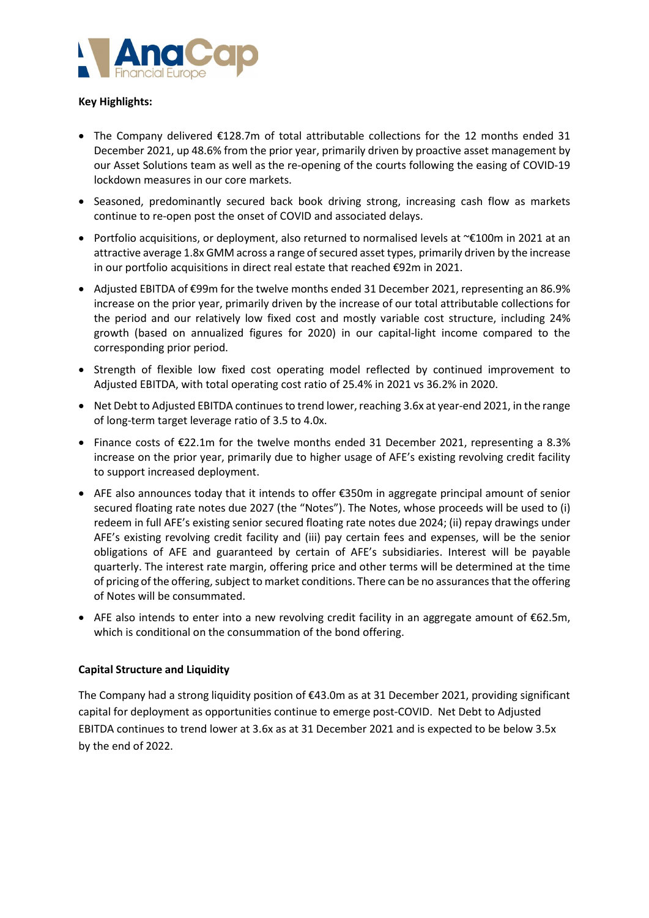

## Key Highlights:

- The Company delivered €128.7m of total attributable collections for the 12 months ended 31 December 2021, up 48.6% from the prior year, primarily driven by proactive asset management by our Asset Solutions team as well as the re-opening of the courts following the easing of COVID-19 lockdown measures in our core markets.
- Seasoned, predominantly secured back book driving strong, increasing cash flow as markets continue to re-open post the onset of COVID and associated delays.
- Portfolio acquisitions, or deployment, also returned to normalised levels at ~€100m in 2021 at an attractive average 1.8x GMM across a range of secured asset types, primarily driven by the increase in our portfolio acquisitions in direct real estate that reached €92m in 2021.
- Adjusted EBITDA of €99m for the twelve months ended 31 December 2021, representing an 86.9% increase on the prior year, primarily driven by the increase of our total attributable collections for the period and our relatively low fixed cost and mostly variable cost structure, including 24% growth (based on annualized figures for 2020) in our capital-light income compared to the corresponding prior period.
- Strength of flexible low fixed cost operating model reflected by continued improvement to Adjusted EBITDA, with total operating cost ratio of 25.4% in 2021 vs 36.2% in 2020.
- Net Debt to Adjusted EBITDA continues to trend lower, reaching 3.6x at year-end 2021, in the range of long-term target leverage ratio of 3.5 to 4.0x.
- Finance costs of €22.1m for the twelve months ended 31 December 2021, representing a 8.3% increase on the prior year, primarily due to higher usage of AFE's existing revolving credit facility to support increased deployment.
- AFE also announces today that it intends to offer €350m in aggregate principal amount of senior secured floating rate notes due 2027 (the "Notes"). The Notes, whose proceeds will be used to (i) redeem in full AFE's existing senior secured floating rate notes due 2024; (ii) repay drawings under AFE's existing revolving credit facility and (iii) pay certain fees and expenses, will be the senior obligations of AFE and guaranteed by certain of AFE's subsidiaries. Interest will be payable quarterly. The interest rate margin, offering price and other terms will be determined at the time of pricing of the offering, subject to market conditions. There can be no assurances that the offering of Notes will be consummated.
- AFE also intends to enter into a new revolving credit facility in an aggregate amount of €62.5m, which is conditional on the consummation of the bond offering.

## Capital Structure and Liquidity

The Company had a strong liquidity position of €43.0m as at 31 December 2021, providing significant capital for deployment as opportunities continue to emerge post-COVID. Net Debt to Adjusted EBITDA continues to trend lower at 3.6x as at 31 December 2021 and is expected to be below 3.5x by the end of 2022.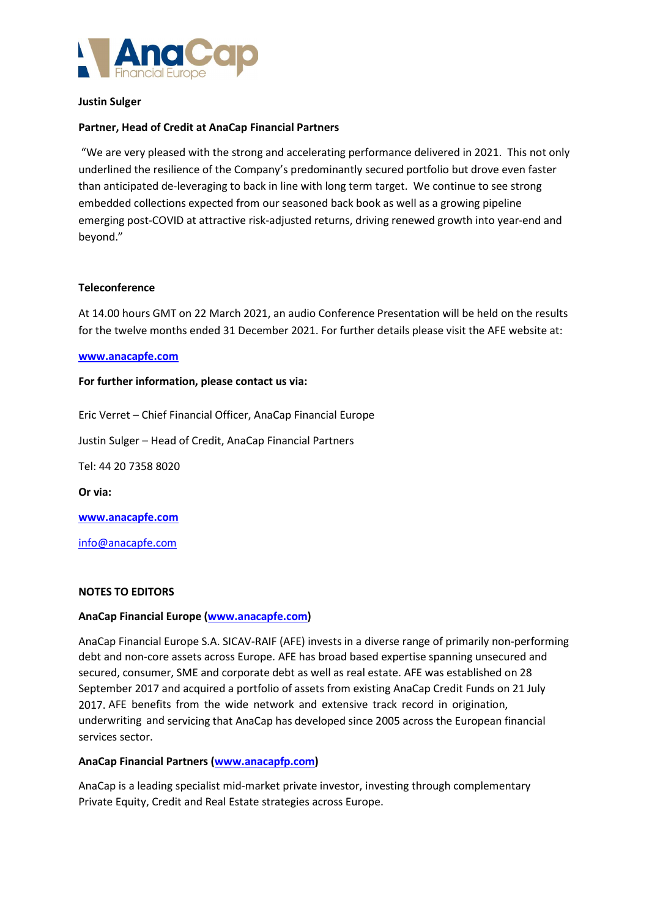

## Justin Sulger

## Partner, Head of Credit at AnaCap Financial Partners

 "We are very pleased with the strong and accelerating performance delivered in 2021. This not only underlined the resilience of the Company's predominantly secured portfolio but drove even faster than anticipated de-leveraging to back in line with long term target. We continue to see strong embedded collections expected from our seasoned back book as well as a growing pipeline emerging post-COVID at attractive risk-adjusted returns, driving renewed growth into year-end and beyond."

#### **Teleconference**

At 14.00 hours GMT on 22 March 2021, an audio Conference Presentation will be held on the results for the twelve months ended 31 December 2021. For further details please visit the AFE website at:

#### www.anacapfe.com

#### For further information, please contact us via:

Eric Verret – Chief Financial Officer, AnaCap Financial Europe

Justin Sulger – Head of Credit, AnaCap Financial Partners

Tel: 44 20 7358 8020

Or via:

www.anacapfe.com

info@anacapfe.com

## NOTES TO EDITORS

## AnaCap Financial Europe (www.anacapfe.com)

AnaCap Financial Europe S.A. SICAV-RAIF (AFE) invests in a diverse range of primarily non-performing debt and non-core assets across Europe. AFE has broad based expertise spanning unsecured and secured, consumer, SME and corporate debt as well as real estate. AFE was established on 28 September 2017 and acquired a portfolio of assets from existing AnaCap Credit Funds on 21 July 2017. AFE benefits from the wide network and extensive track record in origination, underwriting and servicing that AnaCap has developed since 2005 across the European financial services sector.

## AnaCap Financial Partners (www.anacapfp.com)

AnaCap is a leading specialist mid-market private investor, investing through complementary Private Equity, Credit and Real Estate strategies across Europe.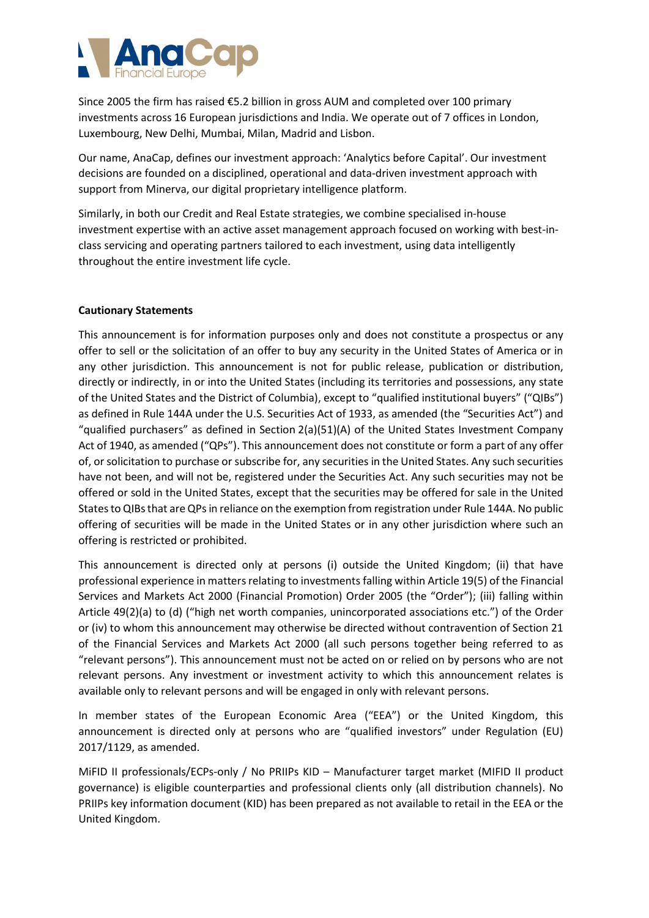

Since 2005 the firm has raised €5.2 billion in gross AUM and completed over 100 primary investments across 16 European jurisdictions and India. We operate out of 7 offices in London, Luxembourg, New Delhi, Mumbai, Milan, Madrid and Lisbon.

Our name, AnaCap, defines our investment approach: 'Analytics before Capital'. Our investment decisions are founded on a disciplined, operational and data-driven investment approach with support from Minerva, our digital proprietary intelligence platform.

Similarly, in both our Credit and Real Estate strategies, we combine specialised in-house investment expertise with an active asset management approach focused on working with best-inclass servicing and operating partners tailored to each investment, using data intelligently throughout the entire investment life cycle.

# Cautionary Statements

This announcement is for information purposes only and does not constitute a prospectus or any offer to sell or the solicitation of an offer to buy any security in the United States of America or in any other jurisdiction. This announcement is not for public release, publication or distribution, directly or indirectly, in or into the United States (including its territories and possessions, any state of the United States and the District of Columbia), except to "qualified institutional buyers" ("QIBs") as defined in Rule 144A under the U.S. Securities Act of 1933, as amended (the "Securities Act") and "qualified purchasers" as defined in Section 2(a)(51)(A) of the United States Investment Company Act of 1940, as amended ("QPs"). This announcement does not constitute or form a part of any offer of, or solicitation to purchase or subscribe for, any securities in the United States. Any such securities have not been, and will not be, registered under the Securities Act. Any such securities may not be offered or sold in the United States, except that the securities may be offered for sale in the United States to QIBs that are QPs in reliance on the exemption from registration under Rule 144A. No public offering of securities will be made in the United States or in any other jurisdiction where such an offering is restricted or prohibited.

This announcement is directed only at persons (i) outside the United Kingdom; (ii) that have professional experience in matters relating to investments falling within Article 19(5) of the Financial Services and Markets Act 2000 (Financial Promotion) Order 2005 (the "Order"); (iii) falling within Article 49(2)(a) to (d) ("high net worth companies, unincorporated associations etc.") of the Order or (iv) to whom this announcement may otherwise be directed without contravention of Section 21 of the Financial Services and Markets Act 2000 (all such persons together being referred to as "relevant persons"). This announcement must not be acted on or relied on by persons who are not relevant persons. Any investment or investment activity to which this announcement relates is available only to relevant persons and will be engaged in only with relevant persons.

In member states of the European Economic Area ("EEA") or the United Kingdom, this announcement is directed only at persons who are "qualified investors" under Regulation (EU) 2017/1129, as amended.

MiFID II professionals/ECPs-only / No PRIIPs KID – Manufacturer target market (MIFID II product governance) is eligible counterparties and professional clients only (all distribution channels). No PRIIPs key information document (KID) has been prepared as not available to retail in the EEA or the United Kingdom.